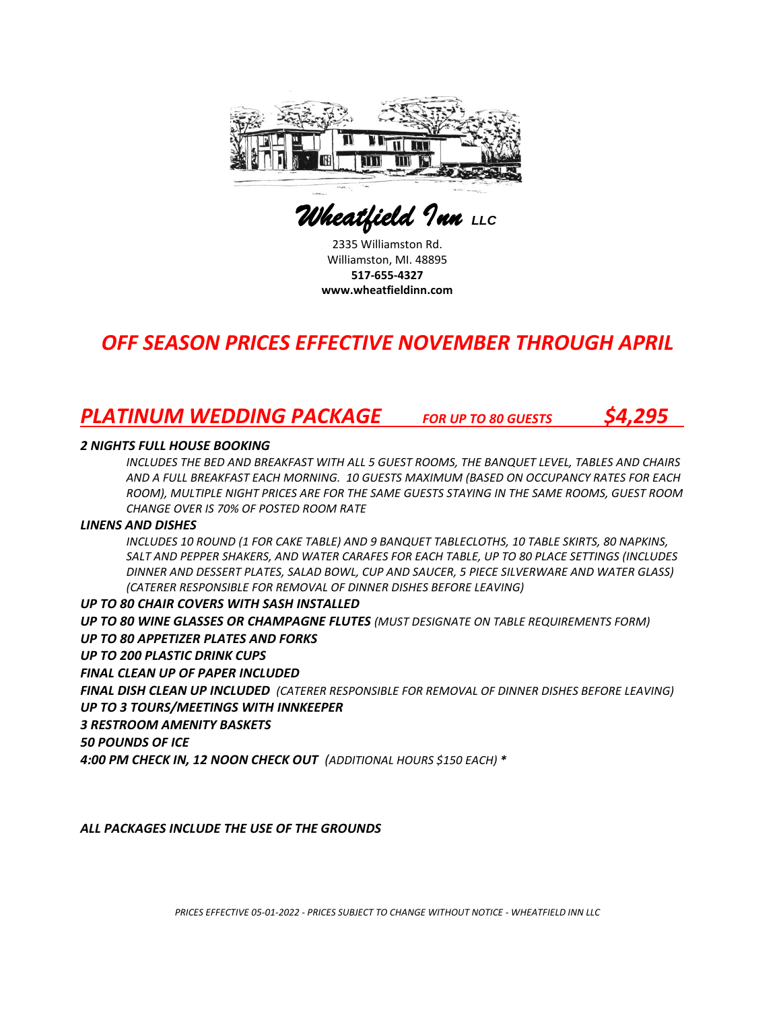

 *Wheatfield Inn LLC* 

2335 Williamston Rd. Williamston, MI. 48895 **517-655-4327 www.wheatfieldinn.com**

## *OFF SEASON PRICES EFFECTIVE NOVEMBER THROUGH APRIL*

## *PLATINUM WEDDING PACKAGE FOR UP TO 80 GUESTS \$4,295*

## *2 NIGHTS FULL HOUSE BOOKING*

*INCLUDES THE BED AND BREAKFAST WITH ALL 5 GUEST ROOMS, THE BANQUET LEVEL, TABLES AND CHAIRS AND A FULL BREAKFAST EACH MORNING. 10 GUESTS MAXIMUM (BASED ON OCCUPANCY RATES FOR EACH ROOM), MULTIPLE NIGHT PRICES ARE FOR THE SAME GUESTS STAYING IN THE SAME ROOMS, GUEST ROOM CHANGE OVER IS 70% OF POSTED ROOM RATE* 

#### *LINENS AND DISHES*

*INCLUDES 10 ROUND (1 FOR CAKE TABLE) AND 9 BANQUET TABLECLOTHS, 10 TABLE SKIRTS, 80 NAPKINS, SALT AND PEPPER SHAKERS, AND WATER CARAFES FOR EACH TABLE, UP TO 80 PLACE SETTINGS (INCLUDES DINNER AND DESSERT PLATES, SALAD BOWL, CUP AND SAUCER, 5 PIECE SILVERWARE AND WATER GLASS) (CATERER RESPONSIBLE FOR REMOVAL OF DINNER DISHES BEFORE LEAVING)*

#### *UP TO 80 CHAIR COVERS WITH SASH INSTALLED*

*UP TO 80 WINE GLASSES OR CHAMPAGNE FLUTES (MUST DESIGNATE ON TABLE REQUIREMENTS FORM) UP TO 80 APPETIZER PLATES AND FORKS UP TO 200 PLASTIC DRINK CUPS FINAL CLEAN UP OF PAPER INCLUDED FINAL DISH CLEAN UP INCLUDED (CATERER RESPONSIBLE FOR REMOVAL OF DINNER DISHES BEFORE LEAVING) UP TO 3 TOURS/MEETINGS WITH INNKEEPER 3 RESTROOM AMENITY BASKETS 50 POUNDS OF ICE 4:00 PM CHECK IN, 12 NOON CHECK OUT (ADDITIONAL HOURS \$150 EACH) \**

*ALL PACKAGES INCLUDE THE USE OF THE GROUNDS*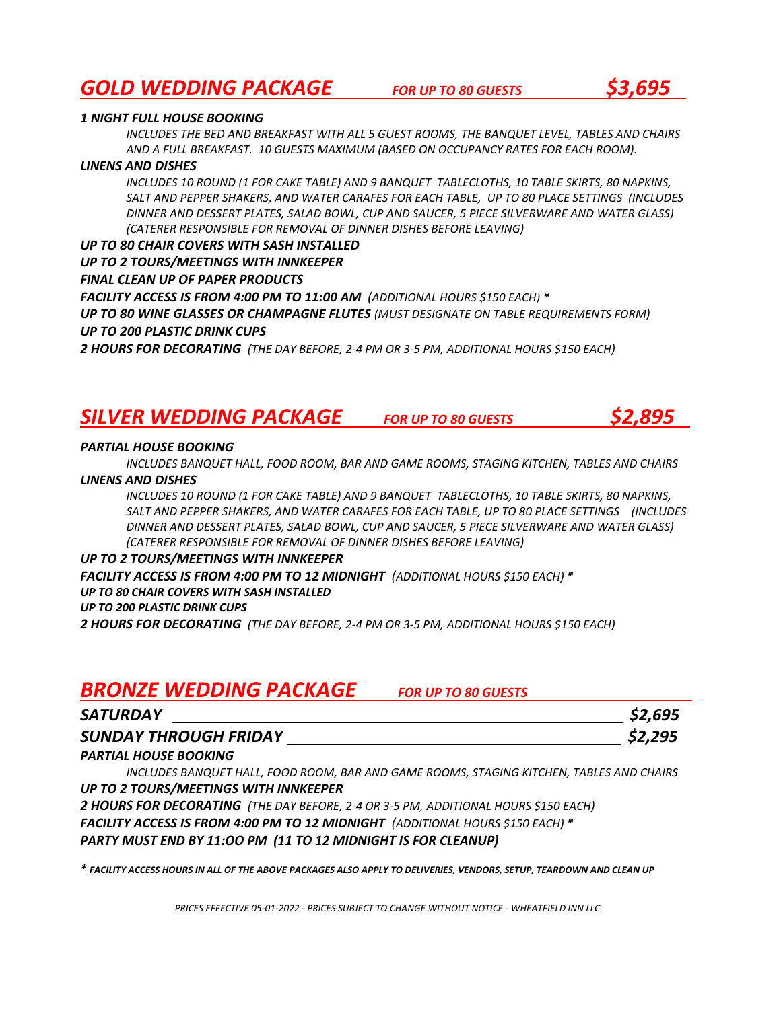## *GOLD WEDDING PACKAGE FOR UP TO 80 GUESTS \$3,695*

## *1 NIGHT FULL HOUSE BOOKING*

*INCLUDES THE BED AND BREAKFAST WITH ALL 5 GUEST ROOMS, THE BANQUET LEVEL, TABLES AND CHAIRS AND A FULL BREAKFAST. 10 GUESTS MAXIMUM (BASED ON OCCUPANCY RATES FOR EACH ROOM).*

## *LINENS AND DISHES*

*INCLUDES 10 ROUND (1 FOR CAKE TABLE) AND 9 BANQUET TABLECLOTHS, 10 TABLE SKIRTS, 80 NAPKINS, SALT AND PEPPER SHAKERS, AND WATER CARAFES FOR EACH TABLE, UP TO 80 PLACE SETTINGS (INCLUDES DINNER AND DESSERT PLATES, SALAD BOWL, CUP AND SAUCER, 5 PIECE SILVERWARE AND WATER GLASS) (CATERER RESPONSIBLE FOR REMOVAL OF DINNER DISHES BEFORE LEAVING)*

## *UP TO 80 CHAIR COVERS WITH SASH INSTALLED*

*UP TO 2 TOURS/MEETINGS WITH INNKEEPER*

## *FINAL CLEAN UP OF PAPER PRODUCTS*

*FACILITY ACCESS IS FROM 4:00 PM TO 11:00 AM (ADDITIONAL HOURS \$150 EACH) \* UP TO 80 WINE GLASSES OR CHAMPAGNE FLUTES (MUST DESIGNATE ON TABLE REQUIREMENTS FORM) UP TO 200 PLASTIC DRINK CUPS* 

*2 HOURS FOR DECORATING (THE DAY BEFORE, 2-4 PM OR 3-5 PM, ADDITIONAL HOURS \$150 EACH)*

## *SILVER WEDDING PACKAGE FOR UP TO 80 GUESTS \$2,895*

## *PARTIAL HOUSE BOOKING*

*INCLUDES BANQUET HALL, FOOD ROOM, BAR AND GAME ROOMS, STAGING KITCHEN, TABLES AND CHAIRS*

## *LINENS AND DISHES*

*INCLUDES 10 ROUND (1 FOR CAKE TABLE) AND 9 BANQUET TABLECLOTHS, 10 TABLE SKIRTS, 80 NAPKINS, SALT AND PEPPER SHAKERS, AND WATER CARAFES FOR EACH TABLE, UP TO 80 PLACE SETTINGS (INCLUDES DINNER AND DESSERT PLATES, SALAD BOWL, CUP AND SAUCER, 5 PIECE SILVERWARE AND WATER GLASS) (CATERER RESPONSIBLE FOR REMOVAL OF DINNER DISHES BEFORE LEAVING)*

## *UP TO 2 TOURS/MEETINGS WITH INNKEEPER*

*FACILITY ACCESS IS FROM 4:00 PM TO 12 MIDNIGHT (ADDITIONAL HOURS \$150 EACH) \* UP TO 80 CHAIR COVERS WITH SASH INSTALLED*

## *UP TO 200 PLASTIC DRINK CUPS*

*2 HOURS FOR DECORATING (THE DAY BEFORE, 2-4 PM OR 3-5 PM, ADDITIONAL HOURS \$150 EACH)*

## *BRONZE WEDDING PACKAGE FOR UP TO 80 GUESTS*

| <b>SATURDAY</b>              | \$2,695 |
|------------------------------|---------|
| <b>SUNDAY THROUGH FRIDAY</b> | \$2,295 |

## *PARTIAL HOUSE BOOKING*

*INCLUDES BANQUET HALL, FOOD ROOM, BAR AND GAME ROOMS, STAGING KITCHEN, TABLES AND CHAIRS UP TO 2 TOURS/MEETINGS WITH INNKEEPER*

*2 HOURS FOR DECORATING (THE DAY BEFORE, 2-4 OR 3-5 PM, ADDITIONAL HOURS \$150 EACH) FACILITY ACCESS IS FROM 4:00 PM TO 12 MIDNIGHT (ADDITIONAL HOURS \$150 EACH) \* PARTY MUST END BY 11:OO PM (11 TO 12 MIDNIGHT IS FOR CLEANUP)*

*\* FACILITY ACCESS HOURS IN ALL OF THE ABOVE PACKAGES ALSO APPLY TO DELIVERIES, VENDORS, SETUP, TEARDOWN AND CLEAN UP*

*PRICES EFFECTIVE 05-01-2022 - PRICES SUBJECT TO CHANGE WITHOUT NOTICE - WHEATFIELD INN LLC*